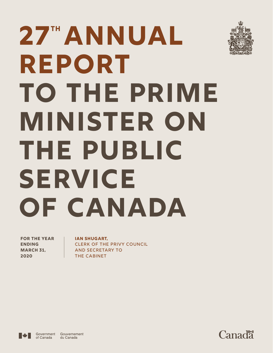# **27<sup>th</sup> ANNUAL Report to The Prime Minister on The Public Service OF CANADA**

**FOR THE YEAR ENDING MARCH 31, 2020**

**Ian Shugart,** CLERK OF THE PRIVY COUNCIL AND SECRETARY TO THE CABINET



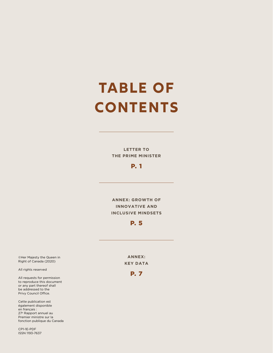# **TABLE of contentS**

**LETTER TO THE PRIME MINISTER**

#### P. 1

**ANNEX: GROWTH OF INNOVATIVE AND INCLUSIVE MINDSETS**

#### P. 5

**ANNEX: KEY DATA**

#### P. 7

©Her Majesty the Queen in Right of Canada (2020)

All rights reserved

All requests for permission to reproduce this document or any part thereof shall be addressed to the Privy Council Office.

Cette publication est également disponible en français : 27e Rapport annuel au Premier ministre sur la fonction publique du Canada

CP1-1E-PDF ISSN 1193-7637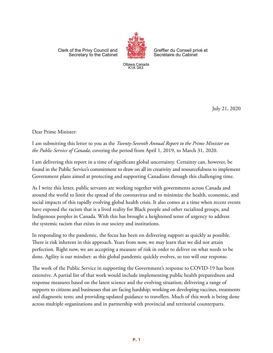Clerk of the Privy Council and Secretary to the Cabinet



Greffier du Conseil privé et Secrétaire du Cabinet

Ottawa, Canada K1A 0A3

July 21, 2020

Dear Prime Minister:

I am submitting this letter to you as the *Twenty-Seventh Annual Report to the Prime Minister on the Public Service of Canada*, covering the period from April 1, 2019, to March 31, 2020.

I am delivering this report in a time of significant global uncertainty. Certainty can, however, be found in the Public Service's commitment to draw on all its creativity and resourcefulness to implement Government plans aimed at protecting and supporting Canadians through this challenging time.

As I write this letter, public servants are working together with governments across Canada and around the world to limit the spread of the coronavirus and to minimize the health, economic, and social impacts of this rapidly evolving global health crisis. It also comes at a time when recent events have exposed the racism that is a lived reality for Black people and other racialized groups, and Indigenous peoples in Canada. With this has brought a heightened sense of urgency to address the systemic racism that exists in our society and institutions.

In responding to the pandemic, the focus has been on delivering support as quickly as possible. There is risk inherent in this approach. Years from now, we may learn that we did not attain perfection. Right now, we are accepting a measure of risk in order to deliver on what needs to be done. Agility is our mindset: as this global pandemic quickly evolves, so too will our response.

The work of the Public Service in supporting the Government's response to COVID-19 has been extensive. A partial list of that work would include implementing public health preparedness and response measures based on the latest science and the evolving situation; delivering a range of supports to citizens and businesses that are facing hardship; working on developing vaccines, treatments and diagnostic tests; and providing updated guidance to travellers. Much of this work is being done across multiple organizations and in partnership with provincial and territorial counterparts.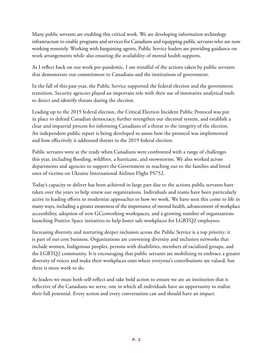Many public servants are enabling this critical work. We are developing information technology infrastructure to enable programs and services for Canadians and equipping public servants who are now working remotely. Working with bargaining agents, Public Service leaders are providing guidance on work arrangements while also ensuring the availability of mental health supports.

As I reflect back on our work pre-pandemic, I am mindful of the actions taken by public servants that demonstrate our commitment to Canadians and the institutions of government.

In the fall of this past year, the Public Service supported the federal election and the government transition. Security agencies played an important role with their use of innovative analytical tools to detect and identify threats during the election.

Leading up to the 2019 federal election, the Critical Election Incident Public Protocol was put in place to defend Canadian democracy, further strengthen our electoral system, and establish a clear and impartial process for informing Canadians of a threat to the integrity of the election. An independent public report is being developed to assess how the protocol was implemented and how effectively it addressed threats to the 2019 federal election.

Public servants were at the ready when Canadians were confronted with a range of challenges this year, including flooding, wildfires, a hurricane, and snowstorms. We also worked across departments and agencies to support the Government in reaching out to the families and loved ones of victims on Ukraine International Airlines Flight PS752.

Today's capacity to deliver has been achieved in large part due to the actions public servants have taken over the years to help renew our organizations. Individuals and teams have been particularly active in leading efforts to modernize approaches to how we work. We have seen this come to life in many ways, including a greater awareness of the importance of mental health, advancement of workplace accessibility, adoption of new GCcoworking workspaces, and a growing number of organizations launching Positive Space initiatives to help foster safe workplaces for LGBTQ2 employees.

Increasing diversity and nurturing deeper inclusion across the Public Service is a top priority; it is part of our core business. Organizations are convening diversity and inclusion networks that include women, Indigenous peoples, persons with disabilities, members of racialized groups, and the LGBTQ2 community. It is encouraging that public servants are mobilizing to embrace a greater diversity of voices and make their workplaces ones where everyone's contributions are valued, but there is more work to do.

As leaders we must both self-reflect and take bold action to ensure we are an institution that is reflective of the Canadians we serve, one in which all individuals have an opportunity to realize their full potential. Every action and every conversation can and should have an impact.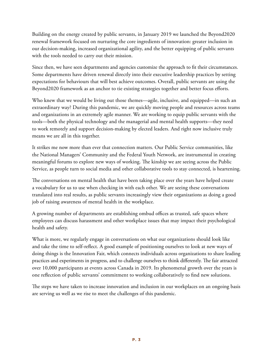Building on the energy created by public servants, in January 2019 we launched the Beyond2020 renewal framework focused on nurturing the core ingredients of innovation: greater inclusion in our decision-making, increased organizational agility, and the better equipping of public servants with the tools needed to carry out their mission.

Since then, we have seen departments and agencies customize the approach to fit their circumstances. Some departments have driven renewal directly into their executive leadership practices by setting expectations for behaviours that will best achieve outcomes. Overall, public servants are using the Beyond2020 framework as an anchor to tie existing strategies together and better focus efforts.

Who knew that we would be living out those themes—agile, inclusive, and equipped—in such an extraordinary way? During this pandemic, we are quickly moving people and resources across teams and organizations in an extremely agile manner. We are working to equip public servants with the tools—both the physical technology and the managerial and mental health supports—they need to work remotely and support decision-making by elected leaders. And right now inclusive truly means we are all in this together.

It strikes me now more than ever that connection matters. Our Public Service communities, like the National Managers' Community and the Federal Youth Network, are instrumental in creating meaningful forums to explore new ways of working. The kinship we are seeing across the Public Service, as people turn to social media and other collaborative tools to stay connected, is heartening.

The conversations on mental health that have been taking place over the years have helped create a vocabulary for us to use when checking in with each other. We are seeing these conversations translated into real results, as public servants increasingly view their organizations as doing a good job of raising awareness of mental health in the workplace.

A growing number of departments are establishing ombud offices as trusted, safe spaces where employees can discuss harassment and other workplace issues that may impact their psychological health and safety.

What is more, we regularly engage in conversations on what our organizations should look like and take the time to self-reflect. A good example of positioning ourselves to look at new ways of doing things is the Innovation Fair, which connects individuals across organizations to share leading practices and experiments in progress, and to challenge ourselves to think differently. The fair attracted over 10,000 participants at events across Canada in 2019. Its phenomenal growth over the years is one reflection of public servants' commitment to working collaboratively to find new solutions.

The steps we have taken to increase innovation and inclusion in our workplaces on an ongoing basis are serving us well as we rise to meet the challenges of this pandemic.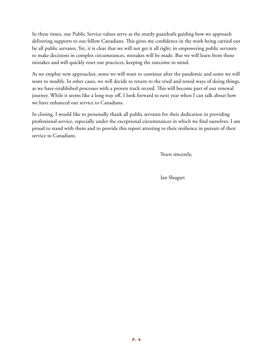In these times, our Public Service values serve as the sturdy guardrails guiding how we approach delivering supports to our fellow Canadians. This gives me confidence in the work being carried out by all public servants. Yet, it is clear that we will not get it all right; in empowering public servants to make decisions in complex circumstances, mistakes will be made. But we will learn from those mistakes and will quickly reset our practices, keeping the outcome in mind.

As we employ new approaches, some we will want to continue after the pandemic and some we will want to modify. In other cases, we will decide to return to the tried and tested ways of doing things, as we have established processes with a proven track record. This will become part of our renewal journey. While it seems like a long way off, I look forward to next year when I can talk about how we have enhanced our service to Canadians.

In closing, I would like to personally thank all public servants for their dedication in providing professional service, especially under the exceptional circumstances in which we find ourselves. I am proud to stand with them and to provide this report attesting to their resilience in pursuit of their service to Canadians.

Yours sincerely,

Ian Shugart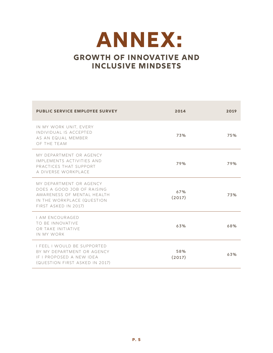### **Annex: Growth of Innovative and Inclusive Mindsets**

| <b>PUBLIC SERVICE EMPLOYEE SURVEY</b>                                                                                                     | 2014          | 2019 |
|-------------------------------------------------------------------------------------------------------------------------------------------|---------------|------|
| IN MY WORK UNIT, EVERY<br>INDIVIDUAL IS ACCEPTED<br>AS AN EQUAL MEMBER<br>OF THE TEAM                                                     | 73%           | 75%  |
| MY DEPARTMENT OR AGENCY<br>IMPLEMENTS ACTIVITIES AND<br>PRACTICES THAT SUPPORT<br>A DIVERSE WORKPLACE                                     | 79%           | 79%  |
| MY DEPARTMENT OR AGENCY<br>DOES A GOOD JOB OF RAISING<br>AWARENESS OF MENTAL HEALTH<br>IN THE WORKPLACE (QUESTION<br>FIRST ASKED IN 2017) | 67%<br>(2017) | 73%  |
| <b>I AM ENCOURAGED</b><br>TO BE INNOVATIVE<br>OR TAKE INITIATIVE<br>IN MY WORK                                                            | 63%           | 68%  |
| I FEEL I WOULD BE SUPPORTED<br>BY MY DEPARTMENT OR AGENCY<br>IF I PROPOSED A NEW IDEA<br>(QUESTION FIRST ASKED IN 2017)                   | 58%<br>(2017) | 63%  |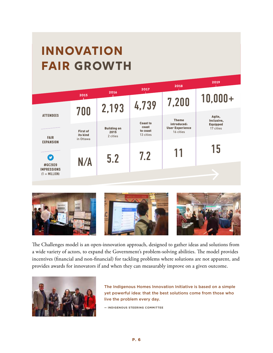## **innovation fair growth**





The Challenges model is an open-innovation approach, designed to gather ideas and solutions from a wide variety of actors, to expand the Government's problem-solving abilities. The model provides incentives (financial and non-financial) for tackling problems where solutions are not apparent, and provides awards for innovators if and when they can measurably improve on a given outcome.



The Indigenous Homes Innovation Initiative is based on a simple yet powerful idea: that the best solutions come from those who live the problem every day.

**— INDIGENOUS STEERING COMMITTEE**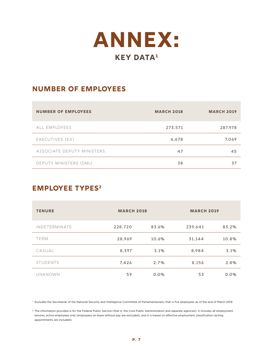

#### **Number of Employees**

| <b>NUMBER OF EMPLOYEES</b> | <b>MARCH 2018</b> | <b>MARCH 2019</b> |
|----------------------------|-------------------|-------------------|
| ALL EMPLOYEES              | 273,571           | 287,978           |
| EXECUTIVES (EX)            | 6,678             | 7,069             |
| ASSOCIATE DEPUTY MINISTERS | 47                | 45                |
| DEPUTY MINISTERS (DMs)     | 38                | 37                |

#### **EMPLOYEE TYPES<sup>2</sup>**

| <b>TENURE</b>        | <b>MARCH 2018</b> |       | <b>MARCH 2019</b> |       |  |
|----------------------|-------------------|-------|-------------------|-------|--|
| <b>INDETERMINATE</b> | 228,720           | 83.6% | 239,641           | 83.2% |  |
| <b>TERM</b>          | 28.969            | 10.6% | 31.144            | 10.8% |  |
| CASUAL               | 8,397             | 3.1%  | 8.984             | 3.1%  |  |
| <b>STUDENTS</b>      | 7,426             | 2.7%  | 8,156             | 2.8%  |  |
| UNKNOWN              | 59                | 0.0%  | 53                | 0.0%  |  |

**<sup>1</sup>** Excludes the Secretariat of the National Security and Intelligence Committee of Parliamentarians, that is five employees as of the end of March 2019.

**<sup>2</sup>** The information provided is for the Federal Public Service (that is, the Core Public Administration and separate agencies). It includes all employment tenures, active employees only (employees on leave without pay are excluded), and it is based on effective employment classification (acting appointments are included).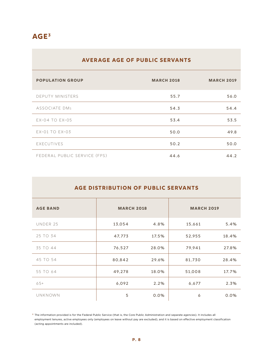#### **Age3**

#### **Average age of public servants**

| <b>POPULATION GROUP</b>      | <b>MARCH 2018</b> | <b>MARCH 2019</b> |
|------------------------------|-------------------|-------------------|
| <b>DEPUTY MINISTERS</b>      | 55.7              | 56.0              |
| ASSOCIATE DMs                | 54.3              | 54.4              |
| $EX-04$ TO $EX-05$           | 53.4              | 53.5              |
| EX-01 TO EX-03               | 50.0              | 49.8              |
| EXECUTIVES                   | 50.2              | 50.0              |
| FEDERAL PUBLIC SERVICE (FPS) | 44.6              | 44.2              |

| <b>AGE DISTRIBUTION OF PUBLIC SERVANTS</b> |                   |       |                   |       |  |  |  |
|--------------------------------------------|-------------------|-------|-------------------|-------|--|--|--|
| <b>AGE BAND</b>                            | <b>MARCH 2018</b> |       | <b>MARCH 2019</b> |       |  |  |  |
| UNDER 25                                   | 13,054            | 4.8%  | 15,661            | 5.4%  |  |  |  |
| 25 TO 34                                   | 47,773            | 17.5% | 52,955            | 18.4% |  |  |  |
| 35 TO 44                                   | 76,527            | 28.0% | 79,941            | 27.8% |  |  |  |
| 45 TO 54                                   | 80,842            | 29.6% | 81,730            | 28.4% |  |  |  |
| 55 TO 64                                   | 49,278            | 18.0% | 51,008            | 17.7% |  |  |  |
| $65+$                                      | 6,092             | 2.2%  | 6,677             | 2.3%  |  |  |  |
| <b>UNKNOWN</b>                             | 5                 | 0.0%  | 6                 | 0.0%  |  |  |  |

**<sup>3</sup>** The information provided is for the Federal Public Service (that is, the Core Public Administration and separate agencies). It includes all employment tenures, active employees only (employees on leave without pay are excluded), and it is based on effective employment classification (acting appointments are included).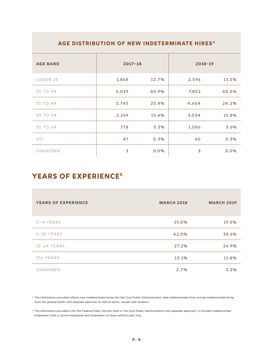#### **Age distribution of new indeterminate hires4**

| <b>AGE BAND</b> | $2017 - 18$ |         | $2018 - 19$ |       |
|-----------------|-------------|---------|-------------|-------|
| UNDER 25        | 1,868       | 12.7%   | 2,596       | 13.5% |
| 25 TO 34        | 6,039       | 40.9%   | 7,802       | 40.5% |
| 35 TO 44        | 3,745       | 25.4%   | 4,664       | 24.2% |
| 45 TO 54        | 2,269       | 15.4%   | 3,034       | 15.8% |
| 55 TO 64        | 778         | 5.3%    | 1,086       | 5.6%  |
| $65+$           | 47          | 0.3%    | 60          | 0.3%  |
| <b>UNKNOWN</b>  | 3           | $0.0\%$ | 3           | 0.0%  |

#### **Years of Experience5**

| <b>YEARS OF EXPERIENCE</b> | <b>MARCH 2018</b> | <b>MARCH 2019</b> |
|----------------------------|-------------------|-------------------|
| $0 - 4$ YEARS              | 15.0%             | 19.5%             |
| $5-14$ YEARS               | 42.0%             | 38.6%             |
| 15-24 YEARS                | 27.2%             | 26.9%             |
| 25+ YEARS                  | 13.1%             | 11.8%             |
| <b>UNKNOWN</b>             | 2.7%              | 3.2%              |

**<sup>4</sup>** The information provided reflects new indeterminate hiring into the Core Public Administration. New indeterminate hires include indeterminate hiring from the general public and separate agencies, as well as terms, casuals and students.

**<sup>5</sup>** The information provided is for the Federal Public Service (that is, the Core Public Administration and separate agencies). It includes indeterminate employees (that is, active employees and employees on leave without pay) only.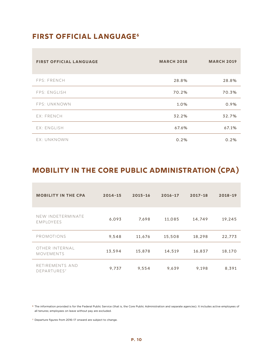#### **First Official Language6**

| <b>FIRST OFFICIAL LANGUAGE</b> | <b>MARCH 2018</b> | <b>MARCH 2019</b> |
|--------------------------------|-------------------|-------------------|
| FPS: FRENCH                    | 28.8%             | 28.8%             |
| FPS: ENGLISH                   | 70.2%             | 70.3%             |
| FPS: UNKNOWN                   | 1.0%              | 0.9%              |
| EX: FRENCH                     | 32.2%             | 32.7%             |
| EX: ENGLISH                    | 67.6%             | 67.1%             |
| EX: UNKNOWN                    | 0.2%              | 0.2%              |

#### **Mobility in the Core Public Administration (CPA)**

| <b>MOBILITY IN THE CPA</b>                 | $2014 - 15$ | $2015 - 16$ | $2016 - 17$ | $2017 - 18$ | $2018 - 19$ |
|--------------------------------------------|-------------|-------------|-------------|-------------|-------------|
| NEW INDETERMINATE<br><b>EMPLOYEES</b>      | 6,093       | 7.698       | 11,085      | 14.749      | 19,245      |
| PROMOTIONS                                 | 9,548       | 11.676      | 15,508      | 18,298      | 22.773      |
| OTHER INTERNAL<br><b>MOVEMENTS</b>         | 13,594      | 15,878      | 14,519      | 16,837      | 18,170      |
| RETIREMENTS AND<br>DEPARTURES <sup>7</sup> | 9,737       | 9,554       | 9,639       | 9.198       | 8.391       |

**<sup>6</sup>** The information provided is for the Federal Public Service (that is, the Core Public Administration and separate agencies). It includes active employees of all tenures; employees on leave without pay are excluded.

**<sup>7</sup>** Departure figures from 2016–17 onward are subject to change.